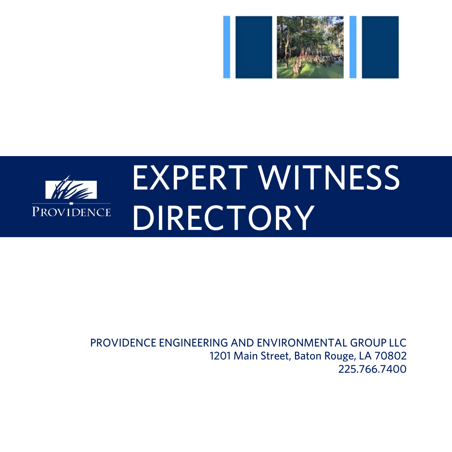



#### PROVIDENCE ENGINEERING AND ENVIRONMENTAL GROUP LLC 1201 Main Street, Baton Rouge, LA 70802 225.766.7400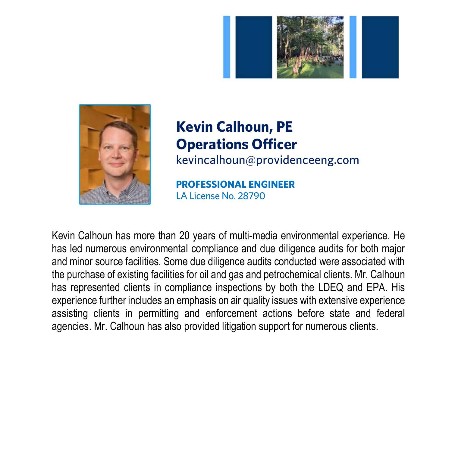



# **Kevin Calhoun, PE Operations Officer**

kevincalhoun@providenceeng.com

**PROFESSIONAL ENGINEER** LA License No. 28790

Kevin Calhoun has more than 20 years of multi-media environmental experience. He has led numerous environmental compliance and due diligence audits for both major and minor source facilities. Some due diligence audits conducted were associated with the purchase of existing facilities for oil and gas and petrochemical clients. Mr. Calhoun has represented clients in compliance inspections by both the LDEQ and EPA. His experience further includes an emphasis on air quality issues with extensive experience assisting clients in permitting and enforcement actions before state and federal agencies. Mr. Calhoun has also provided litigation support for numerous clients.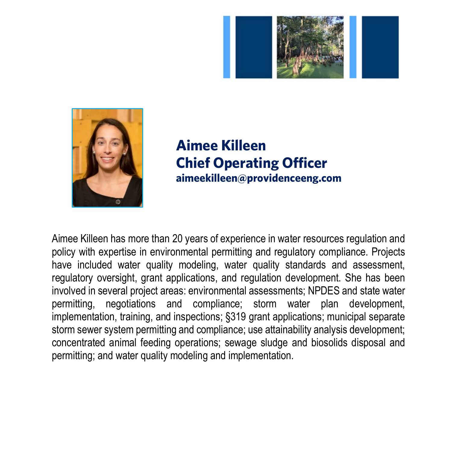



#### **Aimee Killeen Chief Operating Officer aimeekilleen@providenceeng.com**

Aimee Killeen has more than 20 years of experience in water resources regulation and policy with expertise in environmental permitting and regulatory compliance. Projects have included water quality modeling, water quality standards and assessment, regulatory oversight, grant applications, and regulation development. She has been involved in several project areas: environmental assessments; NPDES and state water permitting, negotiations and compliance; storm water plan development, implementation, training, and inspections; §319 grant applications; municipal separate storm sewer system permitting and compliance; use attainability analysis development; concentrated animal feeding operations; sewage sludge and biosolids disposal and permitting; and water quality modeling and implementation.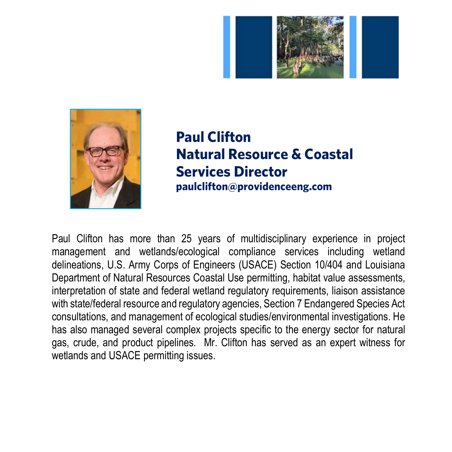



### **Paul Clifton Natural Resource & Coastal Services Director paulclifton@providenceeng.com**

Paul Clifton has more than 25 years of multidisciplinary experience in project management and wetlands/ecological compliance services including wetland delineations, U.S. Army Corps of Engineers (USACE) Section 10/404 and Louisiana Department of Natural Resources Coastal Use permitting, habitat value assessments, interpretation of state and federal wetland regulatory requirements, liaison assistance with state/federal resource and regulatory agencies, Section 7 Endangered Species Act consultations, and management of ecological studies/environmental investigations. He has also managed several complex projects specific to the energy sector for natural gas, crude, and product pipelines. Mr. Clifton has served as an expert witness for wetlands and USACE permitting issues.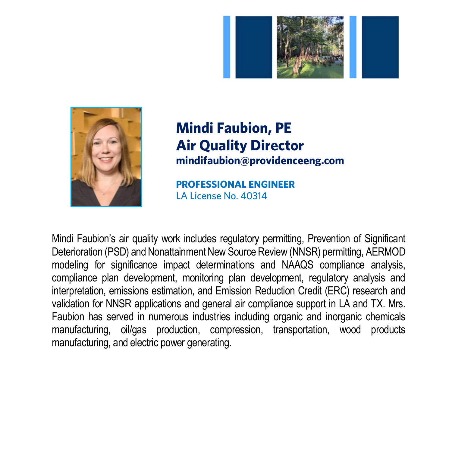



#### **Mindi Faubion, PE Air Quality Director mindifaubion@providenceeng.com**

**PROFESSIONAL ENGINEER** LA License No. 40314

Mindi Faubion's air quality work includes regulatory permitting, Prevention of Significant Deterioration (PSD) and Nonattainment New Source Review (NNSR) permitting, AERMOD modeling for significance impact determinations and NAAQS compliance analysis, compliance plan development, monitoring plan development, regulatory analysis and interpretation, emissions estimation, and Emission Reduction Credit (ERC) research and validation for NNSR applications and general air compliance support in LA and TX. Mrs. Faubion has served in numerous industries including organic and inorganic chemicals manufacturing, oil/gas production, compression, transportation, wood products manufacturing, and electric power generating.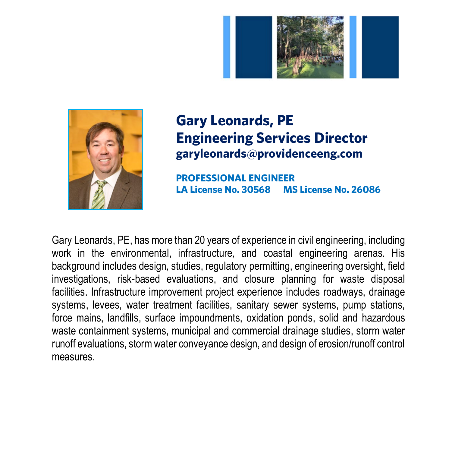



#### **Gary Leonards, PE Engineering Services Director garyleonards@providenceeng.com**

**PROFESSIONAL ENGINEER LA License No. 30568 MS License No. 26086** 

Gary Leonards, PE, has more than 20 years of experience in civil engineering, including work in the environmental, infrastructure, and coastal engineering arenas. His background includes design, studies, regulatory permitting, engineering oversight, field investigations, risk-based evaluations, and closure planning for waste disposal facilities. Infrastructure improvement project experience includes roadways, drainage systems, levees, water treatment facilities, sanitary sewer systems, pump stations, force mains, landfills, surface impoundments, oxidation ponds, solid and hazardous waste containment systems, municipal and commercial drainage studies, storm water runoff evaluations, storm water conveyance design, and design of erosion/runoff control measures.